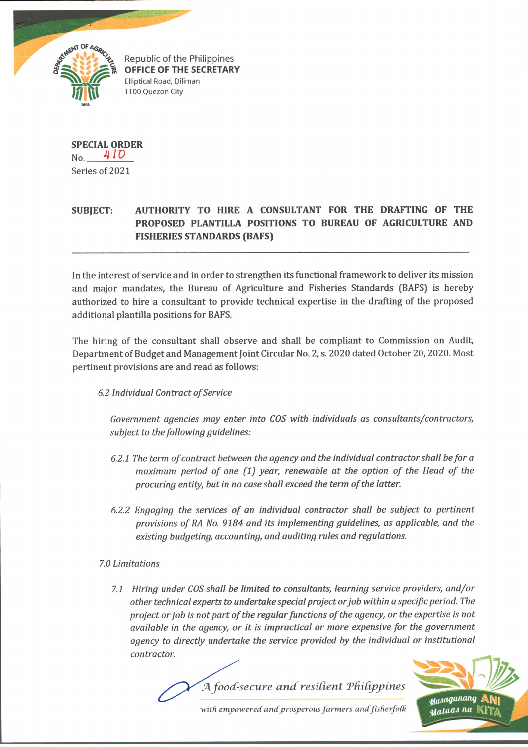

Republic of the Philippines OFFICE OF THE SECRETARY Elliptical Road, Diliman 1100 Quezon City

**SPECIAL ORDER** No. <sup>4</sup> *IV* Series of 2021

## **SUBJECT: AUTHORITY TO HIRE A CONSULTANT FOR THE DRAFTING OF THE PROPOSED PLANTILLA POSITIONS TO BUREAU OF AGRICULTURE AND FISHERIES STANDARDS (BAFS)**

In the interest of service and in order to strengthen its functional framework to deliver its mission and major mandates, the Bureau of Agriculture and Fisheries Standards (BAFS) is hereby authorized to hire a consultant to provide technical expertise in the drafting of the proposed additional plantilla positions for BAFS.

The hiring of the consultant shall observe and shall be compliant to Commission on Audit, Department of Budget and Management Joint Circular No. 2, s. 2020 dated October 20, 2020. Most pertinent provisions are and read as follows:

## *6.2 Individual Contract of Service*

*Government agencies may enter into COS with individuals as consultants/contractors, subject to the following guidelines:*

- *6.2.1 The term of contract between the agency and the individual contractor shall be for a maximum period of one (1) year, renewable at the option of the Head of the procuring entity, but in no case shall exceed the term of the latter.*
- *6.2.2 Engaging the services of an individual contractor shall be subject to pertinent provisions of RA No. 9184 and its implementing guidelines, as applicable, and the existing budgeting, accounting, and auditing rules and regulations.*

## *7.0 Limitations*

*7.1 Hiring under COS shall be limited to consultants, learning service providers, and/or other technical experts to undertake special project or job within a specific period. The* project or job is not part of the regular functions of the agency, or the expertise is not *available in the agency, or it is impractical or more expensive for the government agency to directly undertake the service provided by the individual or institutional contractor.*



*with empowered andprosperous farmers andfisherfoCk*